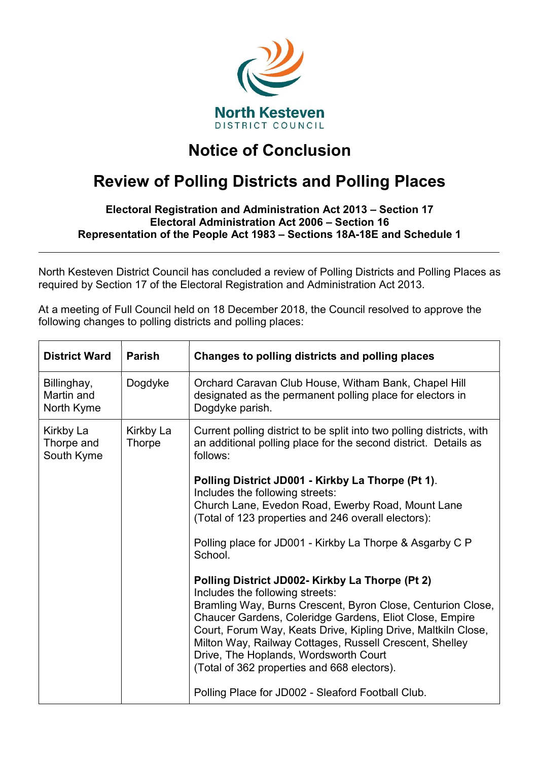

## Notice of Conclusion

## Review of Polling Districts and Polling Places

## Electoral Registration and Administration Act 2013 – Section 17 Electoral Administration Act 2006 – Section 16 Representation of the People Act 1983 – Sections 18A-18E and Schedule 1

North Kesteven District Council has concluded a review of Polling Districts and Polling Places as required by Section 17 of the Electoral Registration and Administration Act 2013.

At a meeting of Full Council held on 18 December 2018, the Council resolved to approve the following changes to polling districts and polling places:

ı

| <b>District Ward</b>                    | <b>Parish</b>       | Changes to polling districts and polling places                                                                                                                                                                                                                                                                                                                                                                                                                                       |
|-----------------------------------------|---------------------|---------------------------------------------------------------------------------------------------------------------------------------------------------------------------------------------------------------------------------------------------------------------------------------------------------------------------------------------------------------------------------------------------------------------------------------------------------------------------------------|
| Billinghay,<br>Martin and<br>North Kyme | Dogdyke             | Orchard Caravan Club House, Witham Bank, Chapel Hill<br>designated as the permanent polling place for electors in<br>Dogdyke parish.                                                                                                                                                                                                                                                                                                                                                  |
| Kirkby La<br>Thorpe and<br>South Kyme   | Kirkby La<br>Thorpe | Current polling district to be split into two polling districts, with<br>an additional polling place for the second district. Details as<br>follows:                                                                                                                                                                                                                                                                                                                                  |
|                                         |                     | Polling District JD001 - Kirkby La Thorpe (Pt 1).<br>Includes the following streets:<br>Church Lane, Evedon Road, Ewerby Road, Mount Lane<br>(Total of 123 properties and 246 overall electors):                                                                                                                                                                                                                                                                                      |
|                                         |                     | Polling place for JD001 - Kirkby La Thorpe & Asgarby C P<br>School.                                                                                                                                                                                                                                                                                                                                                                                                                   |
|                                         |                     | Polling District JD002- Kirkby La Thorpe (Pt 2)<br>Includes the following streets:<br>Bramling Way, Burns Crescent, Byron Close, Centurion Close,<br>Chaucer Gardens, Coleridge Gardens, Eliot Close, Empire<br>Court, Forum Way, Keats Drive, Kipling Drive, Maltkiln Close,<br>Milton Way, Railway Cottages, Russell Crescent, Shelley<br>Drive, The Hoplands, Wordsworth Court<br>(Total of 362 properties and 668 electors).<br>Polling Place for JD002 - Sleaford Football Club. |